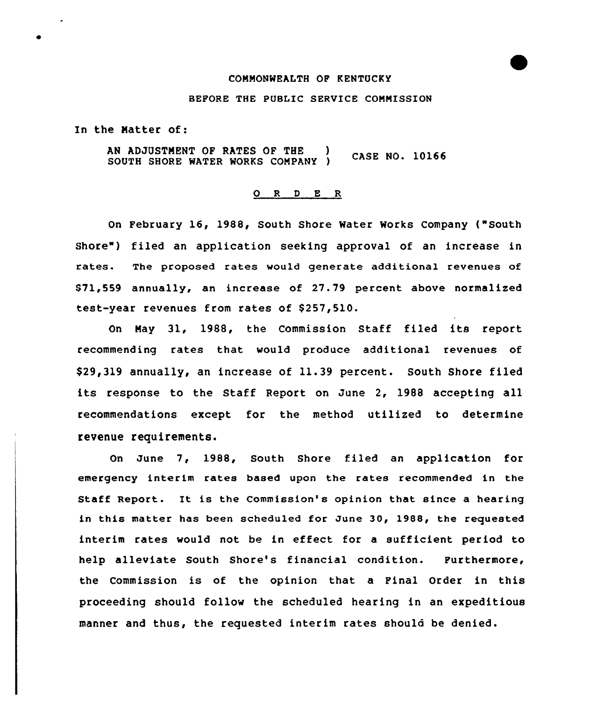## COMMONWEALTH OP KENTUCKY

## BEFORE THE PUBLIC SERUICE COMMISSION

In the Natter of:

AN ADJUSTMENT OF RATES OF THE CASE NO. 10166 SOUTH SHORE WATER WORKS COMPANY

## 0 <sup>R</sup> <sup>D</sup> E R

On February 16, 1988, South Shore Water Works Company ("South Shore") filed an application seeking approval of an increase in rates. The proposed rates would generate additional revenues of 871,559 annually, an increase of 27.79 percent above normalized test-year revenues from rates of \$257,510.

On Nay 31, 1988, the Commission Staff filed its report recommending rates that would produce additional revenues of \$29,319 annually, an increase of 11.39 percent. South Shore filed its response to the Staff Report on June 2, 1988 accepting all recommendations except for the method utilized to determine revenue requirements.

On June 7, 1988, South Shore filed an application for emergency interim rates based upon the rates recommended in the Staff Report. It is the Commission's opinion that since <sup>a</sup> hearing in this matter has been scheduled for June 30, 1988, the requested interim rates would not be in effect for a sufficient period to help alleviate South Shore's financial condition. Purthermore, the Commission is of the opinion that a Final Order in this proceeding should follow the scheduled hearing in an expeditious manner and thus, the requested interim rates should be denied.